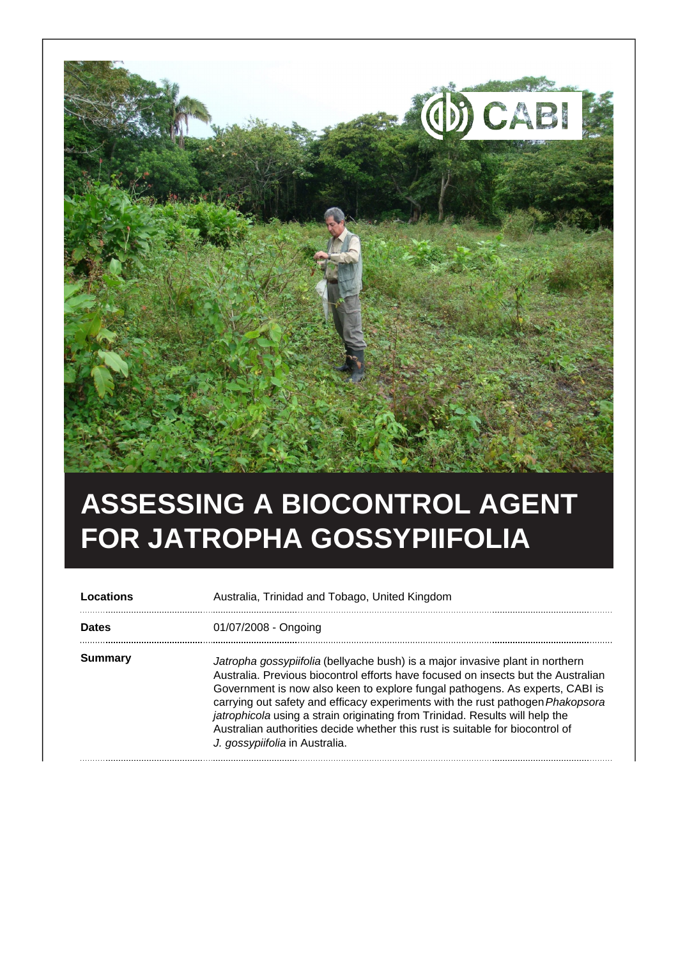

## **ASSESSING A BIOCONTROL AGENT FOR JATROPHA GOSSYPIIFOLIA**

**Locations Australia, Trinidad and Tobago, United Kingdom Dates** 01/07/2008 - Ongoing **Summary** Jatropha gossypiifolia (bellyache bush) is a major invasive plant in northern Australia. Previous biocontrol efforts have focused on insects but the Australian Government is now also keen to explore fungal pathogens. As experts, CABI is carrying out safety and efficacy experiments with the rust pathogen Phakopsora jatrophicola using a strain originating from Trinidad. Results will help the Australian authorities decide whether this rust is suitable for biocontrol of J. gossypiifolia in Australia.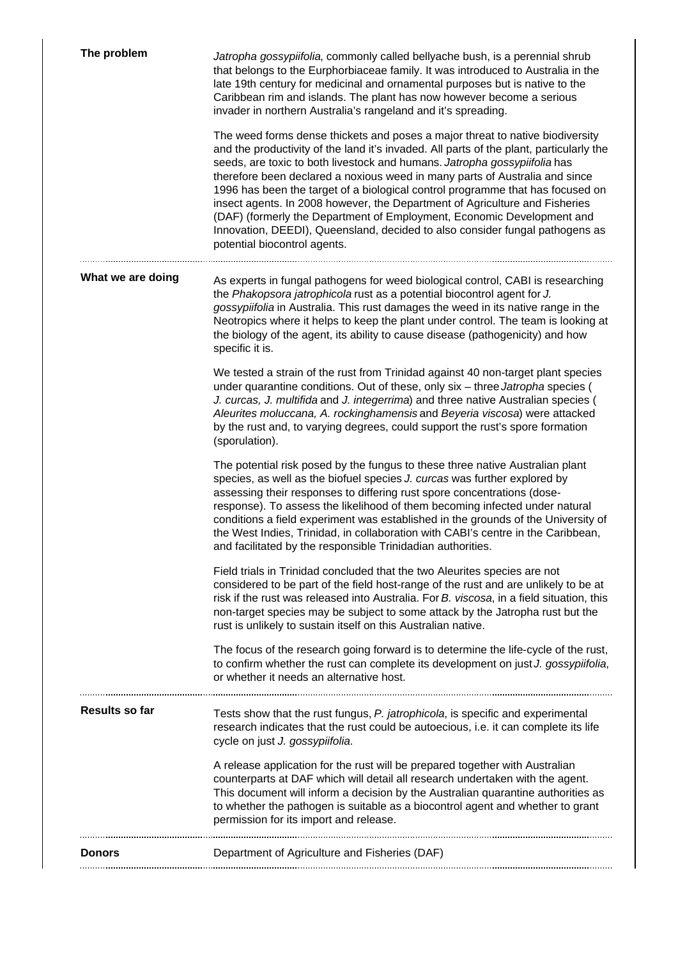| The problem       | Jatropha gossypiifolia, commonly called bellyache bush, is a perennial shrub<br>that belongs to the Eurphorbiaceae family. It was introduced to Australia in the<br>late 19th century for medicinal and ornamental purposes but is native to the<br>Caribbean rim and islands. The plant has now however become a serious<br>invader in northern Australia's rangeland and it's spreading.<br>The weed forms dense thickets and poses a major threat to native biodiversity<br>and the productivity of the land it's invaded. All parts of the plant, particularly the<br>seeds, are toxic to both livestock and humans. Jatropha gossypiifolia has<br>therefore been declared a noxious weed in many parts of Australia and since<br>1996 has been the target of a biological control programme that has focused on<br>insect agents. In 2008 however, the Department of Agriculture and Fisheries<br>(DAF) (formerly the Department of Employment, Economic Development and<br>Innovation, DEEDI), Queensland, decided to also consider fungal pathogens as<br>potential biocontrol agents. |
|-------------------|-----------------------------------------------------------------------------------------------------------------------------------------------------------------------------------------------------------------------------------------------------------------------------------------------------------------------------------------------------------------------------------------------------------------------------------------------------------------------------------------------------------------------------------------------------------------------------------------------------------------------------------------------------------------------------------------------------------------------------------------------------------------------------------------------------------------------------------------------------------------------------------------------------------------------------------------------------------------------------------------------------------------------------------------------------------------------------------------------|
| What we are doing | As experts in fungal pathogens for weed biological control, CABI is researching<br>the Phakopsora jatrophicola rust as a potential biocontrol agent for J.<br>gossypiifolia in Australia. This rust damages the weed in its native range in the<br>Neotropics where it helps to keep the plant under control. The team is looking at<br>the biology of the agent, its ability to cause disease (pathogenicity) and how<br>specific it is.                                                                                                                                                                                                                                                                                                                                                                                                                                                                                                                                                                                                                                                     |
|                   | We tested a strain of the rust from Trinidad against 40 non-target plant species<br>under quarantine conditions. Out of these, only six - three Jatropha species (<br>J. curcas, J. multifida and J. integerrima) and three native Australian species (<br>Aleurites moluccana, A. rockinghamensis and Beyeria viscosa) were attacked<br>by the rust and, to varying degrees, could support the rust's spore formation<br>(sporulation).                                                                                                                                                                                                                                                                                                                                                                                                                                                                                                                                                                                                                                                      |
|                   | The potential risk posed by the fungus to these three native Australian plant<br>species, as well as the biofuel species J. curcas was further explored by<br>assessing their responses to differing rust spore concentrations (dose-<br>response). To assess the likelihood of them becoming infected under natural<br>conditions a field experiment was established in the grounds of the University of<br>the West Indies, Trinidad, in collaboration with CABI's centre in the Caribbean,<br>and facilitated by the responsible Trinidadian authorities.                                                                                                                                                                                                                                                                                                                                                                                                                                                                                                                                  |
|                   | Field trials in Trinidad concluded that the two Aleurites species are not<br>considered to be part of the field host-range of the rust and are unlikely to be at<br>risk if the rust was released into Australia. For B. viscosa, in a field situation, this<br>non-target species may be subject to some attack by the Jatropha rust but the<br>rust is unlikely to sustain itself on this Australian native.                                                                                                                                                                                                                                                                                                                                                                                                                                                                                                                                                                                                                                                                                |
|                   | The focus of the research going forward is to determine the life-cycle of the rust,<br>to confirm whether the rust can complete its development on just J. gossypiifolia,<br>or whether it needs an alternative host.                                                                                                                                                                                                                                                                                                                                                                                                                                                                                                                                                                                                                                                                                                                                                                                                                                                                         |
| Results so far    | Tests show that the rust fungus, P. jatrophicola, is specific and experimental<br>research indicates that the rust could be autoecious, i.e. it can complete its life<br>cycle on just J. gossypiifolia.                                                                                                                                                                                                                                                                                                                                                                                                                                                                                                                                                                                                                                                                                                                                                                                                                                                                                      |
|                   | A release application for the rust will be prepared together with Australian<br>counterparts at DAF which will detail all research undertaken with the agent.<br>This document will inform a decision by the Australian quarantine authorities as<br>to whether the pathogen is suitable as a biocontrol agent and whether to grant<br>permission for its import and release.                                                                                                                                                                                                                                                                                                                                                                                                                                                                                                                                                                                                                                                                                                                 |
| <b>Donors</b>     | Department of Agriculture and Fisheries (DAF)                                                                                                                                                                                                                                                                                                                                                                                                                                                                                                                                                                                                                                                                                                                                                                                                                                                                                                                                                                                                                                                 |
|                   |                                                                                                                                                                                                                                                                                                                                                                                                                                                                                                                                                                                                                                                                                                                                                                                                                                                                                                                                                                                                                                                                                               |